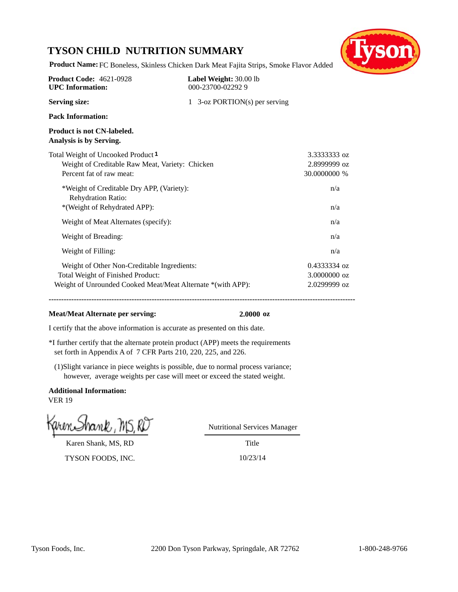## **TYSON CHILD NUTRITION SUMMARY**



**Product Name:** FC Boneless, Skinless Chicken Dark Meat Fajita Strips, Smoke Flavor Added

| <b>Product Code: 4621-0928</b><br><b>UPC</b> Information:                                                                                       | Label Weight: 30.00 lb<br>000-23700-022929 |                                              |
|-------------------------------------------------------------------------------------------------------------------------------------------------|--------------------------------------------|----------------------------------------------|
| <b>Serving size:</b>                                                                                                                            | 1 3-oz PORTION(s) per serving              |                                              |
| <b>Pack Information:</b>                                                                                                                        |                                            |                                              |
| Product is not CN-labeled.<br>Analysis is by Serving.                                                                                           |                                            |                                              |
| Total Weight of Uncooked Product <sup>1</sup><br>Weight of Creditable Raw Meat, Variety: Chicken<br>Percent fat of raw meat:                    |                                            | 3.3333333 oz<br>2.8999999 oz<br>30.0000000 % |
| *Weight of Creditable Dry APP, (Variety):<br><b>Rehydration Ratio:</b><br>*(Weight of Rehydrated APP):                                          |                                            | n/a<br>n/a                                   |
| Weight of Meat Alternates (specify):                                                                                                            |                                            | n/a                                          |
| Weight of Breading:                                                                                                                             |                                            | n/a                                          |
| Weight of Filling:                                                                                                                              |                                            | n/a                                          |
| Weight of Other Non-Creditable Ingredients:<br>Total Weight of Finished Product:<br>Weight of Unrounded Cooked Meat/Meat Alternate *(with APP): |                                            | 0.4333334 oz<br>3.0000000 oz<br>2.0299999 oz |

**--------------------------------------------------------------------------------------------------------------------------**

#### **Meat/Meat Alternate per serving: 2.0000 oz**

I certify that the above information is accurate as presented on this date.

- \*I further certify that the alternate protein product (APP) meets the requirements set forth in Appendix A of 7 CFR Parts 210, 220, 225, and 226.
- (1)Slight variance in piece weights is possible, due to normal process variance; however, average weights per case will meet or exceed the stated weight.

**Additional Information:** VER 19

Karen Shank, MS, RD

TYSON FOODS, INC. 10/23/14

Nutritional Services Manager

Title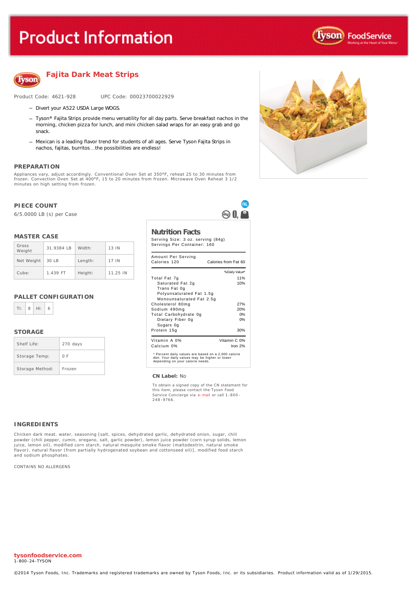# **Product Information**





## **Fajita Dark Meat Strips**

Product Code: 4621-928 UPC Code: 00023700022929

- Divert your A522 USDA Large WOGS.
- *Tyson*® Fajita Strips provide menu versatility for all day parts. Serve breakfast nachos in the morning, chicken pizza for lunch, and mini chicken salad wraps for an easy grab and go snack.
- Mexican is a leading flavor trend for students of all ages. Serve *Tyson* Fajita Strips in nachos, fajitas, burritos…the possibilities are endless!

#### **PREPARATION**

Appliances vary, adjust accordingly. Conventional Oven **Set at 350°F, reheat 25 to 30 minutes from**<br>frozen. Convection Oven **Set at 400°F, 15 to 20 minutes from frozen.** Microwave Oven Reheat 3 1/2 minutes on high setting from frozen.

#### **PIECE COUNT**

6/5.0000 LB (s) per Case

#### **MASTER CASE**

| Gross<br>Weight | 31.9384 IB | Width:  | 13 IN    |
|-----------------|------------|---------|----------|
| Net Weight      | 30 LB      | Length: | 17 IN    |
| Cube:           | 1.439 FT   | Height: | 11.25 IN |

#### **PALLET CONFIGURATION**

#### **STORAGE**

| Shelf life      | 270 days |
|-----------------|----------|
| Storage Temp:   | 0 F      |
| Storage Method: | Frozen   |

## **Nutrition Facts**

Serving Size: 3 oz. serving (84g)

 $\mathbb{R}$   $\mathbb{R}$ 

| Servings Per Container: 160                                                                                                               |                      |  |  |  |
|-------------------------------------------------------------------------------------------------------------------------------------------|----------------------|--|--|--|
| Amount Per Serving<br>Calories 120                                                                                                        | Calories from Fat 60 |  |  |  |
|                                                                                                                                           | % Daily Value*       |  |  |  |
| Total Fat 7g                                                                                                                              | 11%                  |  |  |  |
| Saturated Fat 2g                                                                                                                          | 10%                  |  |  |  |
| Trans Fat 0g                                                                                                                              |                      |  |  |  |
| Polyunsaturated Fat 1.5g                                                                                                                  |                      |  |  |  |
| Monounsaturated Fat 2.5g                                                                                                                  |                      |  |  |  |
| Cholesterol 80mg                                                                                                                          | 27%                  |  |  |  |
| Sodium 490mg                                                                                                                              | 20%                  |  |  |  |
| Total Carbohydrate 0g                                                                                                                     | 0%                   |  |  |  |
| Dietary Fiber 0g                                                                                                                          | 0%                   |  |  |  |
| Sugars Og<br>Protein 15g                                                                                                                  | 30%                  |  |  |  |
|                                                                                                                                           |                      |  |  |  |
| Vitamin A 0%                                                                                                                              | Vitamin C 0%         |  |  |  |
| Calcium 0%                                                                                                                                | Iron $2%$            |  |  |  |
| * Percent daily values are based on a 2,000 calorie<br>diet. Your daily values may be higher or lower<br>depending on your calorie needs. |                      |  |  |  |

#### **CN Label:** No

To obtain a signed copy of the CN statement for this item, please contact the Tyson Food Service Concierge via [e-mail](mailto:fscomments@tyson.com) or call 1-800 - 248 -9766.

#### **INGREDIENTS**

Chicken dark meat, water, seasoning [salt, spices, dehydrated garlic, dehydrated onion, sugar, chili powder (chili pepper, cumin, oregano, salt, garlic powder), lemon juice powder (corn syrup solids, lemon juice, lemon oil), modified corn starch, natural mesquite smoke flavor (maltodextrin, natural smoke flavor), natural flavor (from partially hydrogenated soybean and cottonseed oil)], modified food starch and sodium phosphates.

CONTAINS NO ALLERGENS

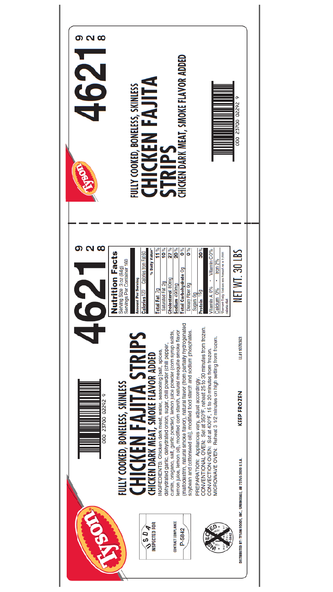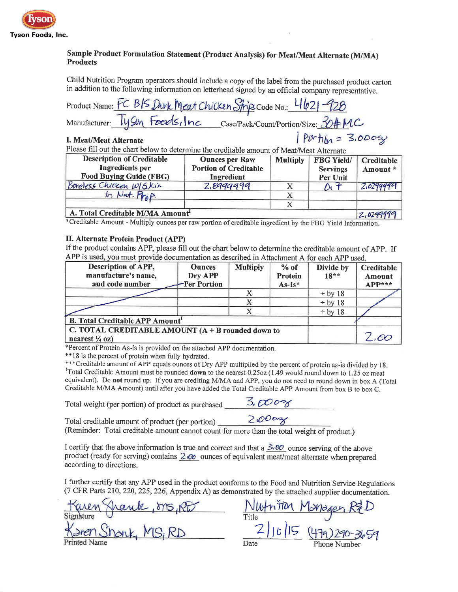

## Sample Product Formulation Statement (Product Analysis) for Meat/Meat Alternate (M/MA) **Products**

Child Nutrition Program operators should include a copy of the label from the purchased product carton in addition to the following information on letterhead signed by an official company representative.

| Product Name: FC BIS Dark Meat Chicken Strips Code No.: 4621-928 |                                                                    |
|------------------------------------------------------------------|--------------------------------------------------------------------|
|                                                                  | Manufacturer: lysin Foods, Inc Case/Pack/Count/Portion/Size: 30#MC |
| I. Meat/Meat Alternate                                           | $1$ $Pv + h$ $h = 3.0003$                                          |

Please fill out the chart below to determine the creditable amount of Meat/Meat Alternate

| <b>Description of Creditable</b><br>Ingredients per<br><b>Food Buying Guide (FBG)</b> | <b>Ounces per Raw</b><br><b>Portion of Creditable</b><br>Ingredient | <b>Multiply</b> | <b>FBG Yield/</b><br><b>Servings</b><br>Per Unit | Creditable<br>Amount * |
|---------------------------------------------------------------------------------------|---------------------------------------------------------------------|-----------------|--------------------------------------------------|------------------------|
| Boneless Chicken W/Skin                                                               | 2,899999                                                            |                 |                                                  | 2,0299999              |
| in Nut. Prop.                                                                         |                                                                     |                 |                                                  |                        |
|                                                                                       |                                                                     |                 |                                                  |                        |
| A. Total Creditable M/MA Amount                                                       |                                                                     |                 |                                                  |                        |

\*Creditable Amount - Multiply ounces per raw portion of creditable ingredient by the FBG Yield Information.

### II. Alternate Protein Product (APP)

If the product contains APP, please fill out the chart below to determine the creditable amount of APP. If APP is used, you must provide documentation as described in Attachment A for each APP used.

| Description of APP,<br>manufacture's name,<br>and code number                    | <b>Ounces</b><br>Dry APP<br>Per Portion | <b>Multiply</b> | $%$ of<br>Protein<br>$As-Is*$ | Divide by<br>$18**$    | Creditable<br>Amount<br>$APP***$ |
|----------------------------------------------------------------------------------|-----------------------------------------|-----------------|-------------------------------|------------------------|----------------------------------|
|                                                                                  |                                         |                 |                               | $\div$ by 18           |                                  |
|                                                                                  |                                         |                 |                               | $\div$ by 18           |                                  |
|                                                                                  |                                         |                 |                               | $\div$ by 18           |                                  |
| <b>B. Total Creditable APP Amount1</b>                                           |                                         |                 |                               |                        |                                  |
| C. TOTAL CREDITABLE AMOUNT $(A + B$ rounded down to<br>nearest $\frac{1}{4}$ oz) |                                         |                 |                               | $\partial \mathcal{C}$ |                                  |

\*Percent of Protein As-Is is provided on the attached APP documentation.

\*\*18 is the percent of protein when fully hydrated.

\*\*\*Creditable amount of APP equals ounces of Dry APP multiplied by the percent of protein as-is divided by 18. <sup>1</sup>Total Creditable Amount must be rounded **down** to the nearest 0.25oz (1.49 would round down to 1.25 oz meat equivalent). Do not round up. If you are crediting M/MA and APP, you do not need to round down in box A (Total Creditable M/MA Amount) until after you have added the Total Creditable APP Amount from box B to box C.

Total weight (per portion) of product as purchased

 $5.000\%$ 

 $2000x$ Total creditable amount of product (per portion) (Reminder: Total creditable amount cannot count for more than the total weight of product.)

I certify that the above information is true and correct and that a  $\frac{3.00}{\sqrt{2}}$  ounce serving of the above product (ready for serving) contains  $2 \times 2$  ounces of equivalent meat/meat alternate when prepared according to directions.

I further certify that any APP used in the product conforms to the Food and Nutrition Service Regulations (7 CFR Parts 210, 220, 225, 226, Appendix A) as demonstrated by the attached supplier documentation.

<u>- IMS RD</u><br>MS RD

<u>agen Kq</u>D<br>ra)790-3659  $\frac{1 \text{VU}}{T}$